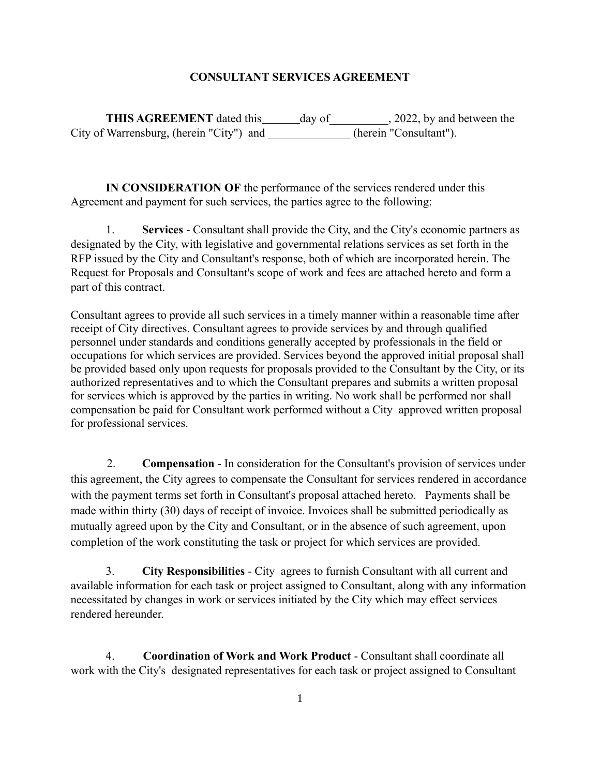### **CONSULTANT SERVICES AGREEMENT**

**THIS AGREEMENT** dated this day of 2022, by and between the City of Warrensburg, (herein "City") and (herein "Consultant").

**IN CONSIDERATION OF** the performance of the services rendered under this Agreement and payment for such services, the parties agree to the following:

1. **Services** - Consultant shall provide the City, and the City's economic partners as designated by the City, with legislative and governmental relations services as set forth in the RFP issued by the City and Consultant's response, both of which are incorporated herein. The Request for Proposals and Consultant's scope of work and fees are attached hereto and form a part of this contract.

Consultant agrees to provide all such services in a timely manner within a reasonable time after receipt of City directives. Consultant agrees to provide services by and through qualified personnel under standards and conditions generally accepted by professionals in the field or occupations for which services are provided. Services beyond the approved initial proposal shall be provided based only upon requests for proposals provided to the Consultant by the City, or its authorized representatives and to which the Consultant prepares and submits a written proposal for services which is approved by the parties in writing. No work shall be performed nor shall compensation be paid for Consultant work performed without a City approved written proposal for professional services.

2. **Compensation** - In consideration for the Consultant's provision of services under this agreement, the City agrees to compensate the Consultant for services rendered in accordance with the payment terms set forth in Consultant's proposal attached hereto. Payments shall be made within thirty (30) days of receipt of invoice. Invoices shall be submitted periodically as mutually agreed upon by the City and Consultant, or in the absence of such agreement, upon completion of the work constituting the task or project for which services are provided.

3. **City Responsibilities** - City agrees to furnish Consultant with all current and available information for each task or project assigned to Consultant, along with any information necessitated by changes in work or services initiated by the City which may effect services rendered hereunder.

4. **Coordination of Work and Work Product** - Consultant shall coordinate all work with the City's designated representatives for each task or project assigned to Consultant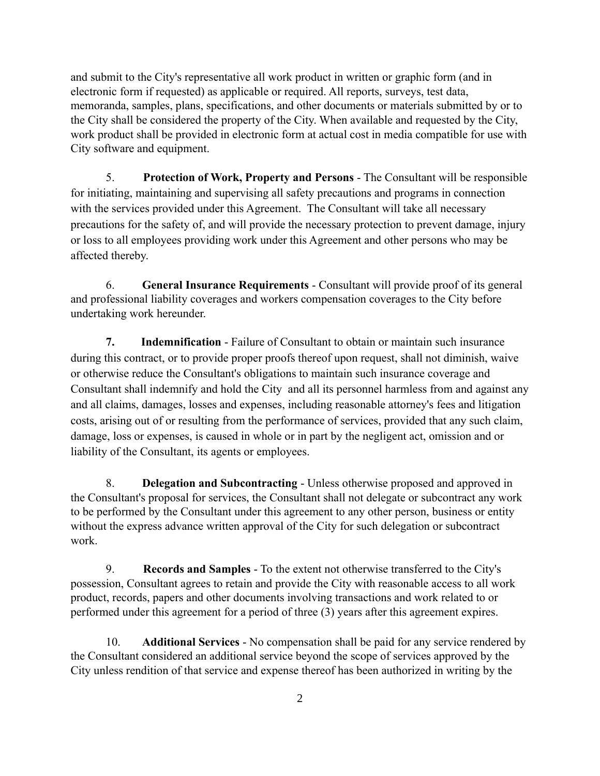and submit to the City's representative all work product in written or graphic form (and in electronic form if requested) as applicable or required. All reports, surveys, test data, memoranda, samples, plans, specifications, and other documents or materials submitted by or to the City shall be considered the property of the City. When available and requested by the City, work product shall be provided in electronic form at actual cost in media compatible for use with City software and equipment.

5. **Protection of Work, Property and Persons** - The Consultant will be responsible for initiating, maintaining and supervising all safety precautions and programs in connection with the services provided under this Agreement. The Consultant will take all necessary precautions for the safety of, and will provide the necessary protection to prevent damage, injury or loss to all employees providing work under this Agreement and other persons who may be affected thereby.

6. **General Insurance Requirements** - Consultant will provide proof of its general and professional liability coverages and workers compensation coverages to the City before undertaking work hereunder.

**7. Indemnification** - Failure of Consultant to obtain or maintain such insurance during this contract, or to provide proper proofs thereof upon request, shall not diminish, waive or otherwise reduce the Consultant's obligations to maintain such insurance coverage and Consultant shall indemnify and hold the City and all its personnel harmless from and against any and all claims, damages, losses and expenses, including reasonable attorney's fees and litigation costs, arising out of or resulting from the performance of services, provided that any such claim, damage, loss or expenses, is caused in whole or in part by the negligent act, omission and or liability of the Consultant, its agents or employees.

8. **Delegation and Subcontracting** - Unless otherwise proposed and approved in the Consultant's proposal for services, the Consultant shall not delegate or subcontract any work to be performed by the Consultant under this agreement to any other person, business or entity without the express advance written approval of the City for such delegation or subcontract work.

9. **Records and Samples** - To the extent not otherwise transferred to the City's possession, Consultant agrees to retain and provide the City with reasonable access to all work product, records, papers and other documents involving transactions and work related to or performed under this agreement for a period of three (3) years after this agreement expires.

10. **Additional Services** - No compensation shall be paid for any service rendered by the Consultant considered an additional service beyond the scope of services approved by the City unless rendition of that service and expense thereof has been authorized in writing by the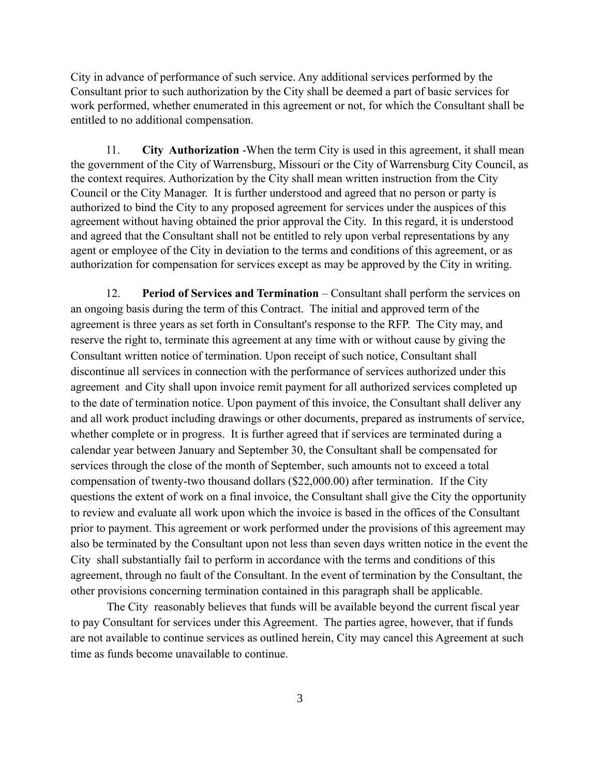City in advance of performance of such service. Any additional services performed by the Consultant prior to such authorization by the City shall be deemed a part of basic services for work performed, whether enumerated in this agreement or not, for which the Consultant shall be entitled to no additional compensation.

11. **City Authorization** -When the term City is used in this agreement, it shall mean the government of the City of Warrensburg, Missouri or the City of Warrensburg City Council, as the context requires. Authorization by the City shall mean written instruction from the City Council or the City Manager. It is further understood and agreed that no person or party is authorized to bind the City to any proposed agreement for services under the auspices of this agreement without having obtained the prior approval the City. In this regard, it is understood and agreed that the Consultant shall not be entitled to rely upon verbal representations by any agent or employee of the City in deviation to the terms and conditions of this agreement, or as authorization for compensation for services except as may be approved by the City in writing.

12. **Period of Services and Termination** – Consultant shall perform the services on an ongoing basis during the term of this Contract. The initial and approved term of the agreement is three years as set forth in Consultant's response to the RFP. The City may, and reserve the right to, terminate this agreement at any time with or without cause by giving the Consultant written notice of termination. Upon receipt of such notice, Consultant shall discontinue all services in connection with the performance of services authorized under this agreement and City shall upon invoice remit payment for all authorized services completed up to the date of termination notice. Upon payment of this invoice, the Consultant shall deliver any and all work product including drawings or other documents, prepared as instruments of service, whether complete or in progress. It is further agreed that if services are terminated during a calendar year between January and September 30, the Consultant shall be compensated for services through the close of the month of September, such amounts not to exceed a total compensation of twenty-two thousand dollars (\$22,000.00) after termination. If the City questions the extent of work on a final invoice, the Consultant shall give the City the opportunity to review and evaluate all work upon which the invoice is based in the offices of the Consultant prior to payment. This agreement or work performed under the provisions of this agreement may also be terminated by the Consultant upon not less than seven days written notice in the event the City shall substantially fail to perform in accordance with the terms and conditions of this agreement, through no fault of the Consultant. In the event of termination by the Consultant, the other provisions concerning termination contained in this paragraph shall be applicable.

The City reasonably believes that funds will be available beyond the current fiscal year to pay Consultant for services under this Agreement. The parties agree, however, that if funds are not available to continue services as outlined herein, City may cancel this Agreement at such time as funds become unavailable to continue.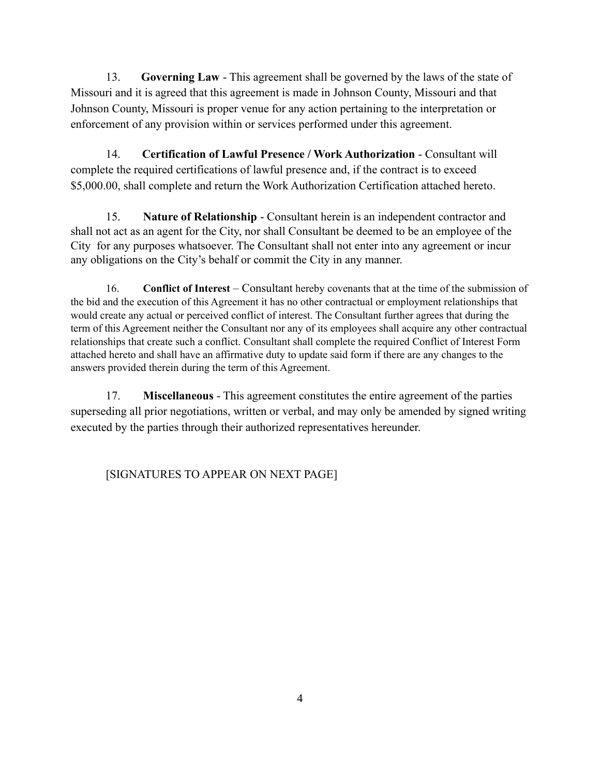13. **Governing Law** - This agreement shall be governed by the laws of the state of Missouri and it is agreed that this agreement is made in Johnson County, Missouri and that Johnson County, Missouri is proper venue for any action pertaining to the interpretation or enforcement of any provision within or services performed under this agreement.

14. **Certification of Lawful Presence / Work Authorization** - Consultant will complete the required certifications of lawful presence and, if the contract is to exceed \$5,000.00, shall complete and return the Work Authorization Certification attached hereto.

15. **Nature of Relationship** - Consultant herein is an independent contractor and shall not act as an agent for the City, nor shall Consultant be deemed to be an employee of the City for any purposes whatsoever. The Consultant shall not enter into any agreement or incur any obligations on the City's behalf or commit the City in any manner.

16. **Conflict of Interest** – Consultant hereby covenants that at the time of the submission of the bid and the execution of this Agreement it has no other contractual or employment relationships that would create any actual or perceived conflict of interest. The Consultant further agrees that during the term of this Agreement neither the Consultant nor any of its employees shall acquire any other contractual relationships that create such a conflict. Consultant shall complete the required Conflict of Interest Form attached hereto and shall have an affirmative duty to update said form if there are any changes to the answers provided therein during the term of this Agreement.

17. **Miscellaneous** - This agreement constitutes the entire agreement of the parties superseding all prior negotiations, written or verbal, and may only be amended by signed writing executed by the parties through their authorized representatives hereunder.

[SIGNATURES TO APPEAR ON NEXT PAGE]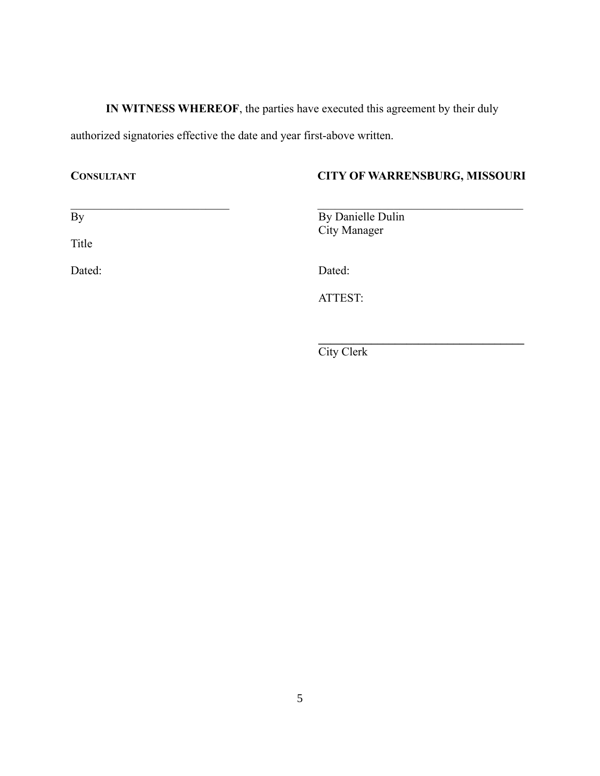**IN WITNESS WHEREOF**, the parties have executed this agreement by their duly authorized signatories effective the date and year first-above written.

## **CONSULTANT CITY OF WARRENSBURG, MISSOURI**

 $\mathbf{I}$ 

| By | By Danielle Dulin |
|----|-------------------|

Title

By Danielle Dulin City Manager

Dated: Dated: Dated: Dated: Pated: Pated: Pated: Pated: Pated: Pated: Pated: Pated: Pated: Pated: Pated: Pated: Pated: Pated: Pated: Pated: Pated: Pated: Pated: Pated: Pated: Pated: Pated: Pated: Pated: Pated: Pated: Pated

ATTEST:

**\_\_\_\_\_\_\_\_\_\_\_\_\_\_\_\_\_\_\_\_\_\_\_\_\_\_\_\_\_\_\_\_\_\_\_**  City Clerk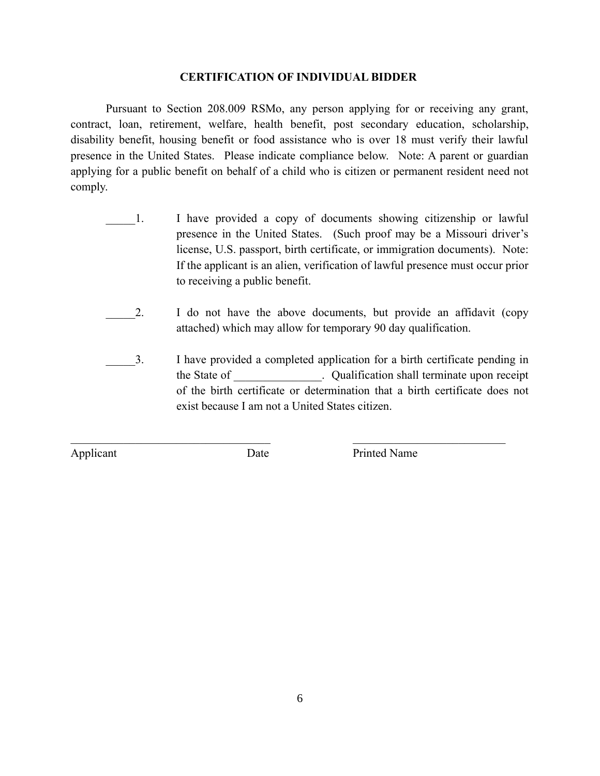#### **CERTIFICATION OF INDIVIDUAL BIDDER**

Pursuant to Section 208.009 RSMo, any person applying for or receiving any grant, contract, loan, retirement, welfare, health benefit, post secondary education, scholarship, disability benefit, housing benefit or food assistance who is over 18 must verify their lawful presence in the United States. Please indicate compliance below. Note: A parent or guardian applying for a public benefit on behalf of a child who is citizen or permanent resident need not comply.

- 1. I have provided a copy of documents showing citizenship or lawful presence in the United States. (Such proof may be a Missouri driver's license, U.S. passport, birth certificate, or immigration documents). Note: If the applicant is an alien, verification of lawful presence must occur prior to receiving a public benefit.
- 2. I do not have the above documents, but provide an affidavit (copy) attached) which may allow for temporary 90 day qualification.
- \_\_\_\_\_3. I have provided a completed application for a birth certificate pending in the State of \_\_\_\_\_\_\_\_\_\_\_\_\_\_\_. Qualification shall terminate upon receipt of the birth certificate or determination that a birth certificate does not exist because I am not a United States citizen.

 $\mathcal{L}_\text{max}$  , and the contribution of the contribution of the contribution of the contribution of the contribution of the contribution of the contribution of the contribution of the contribution of the contribution of t

Applicant Date Printed Name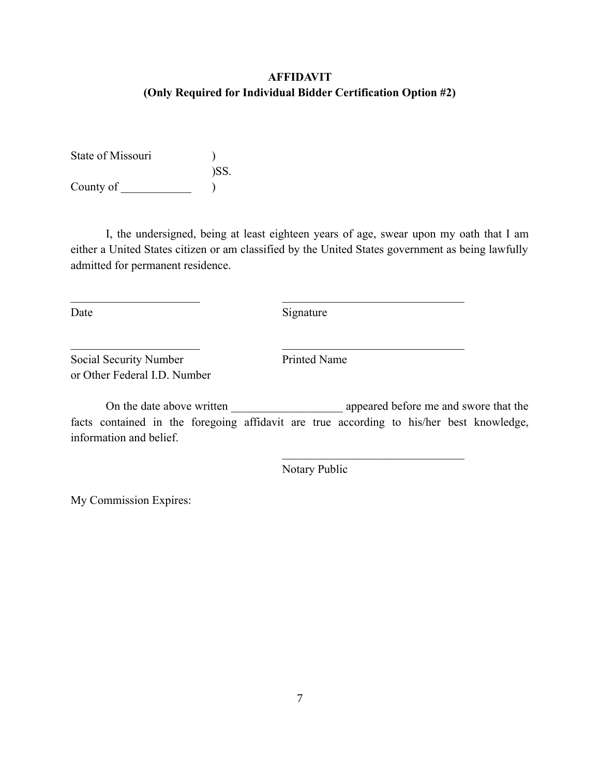# **AFFIDAVIT (Only Required for Individual Bidder Certification Option #2)**

State of Missouri (1) )SS. County of \_\_\_\_\_\_\_\_\_\_\_\_ )

I, the undersigned, being at least eighteen years of age, swear upon my oath that I am either a United States citizen or am classified by the United States government as being lawfully admitted for permanent residence.

Date Signature

 $\mathcal{L}_\text{max}$  , and the contract of the contract of the contract of the contract of the contract of the contract of

 $\mathcal{L}_\text{max}$  , and the contract of the contract of the contract of the contract of the contract of the contract of

Social Security Number Printed Name or Other Federal I.D. Number

On the date above written \_\_\_\_\_\_\_\_\_\_\_\_\_\_\_\_\_\_\_ appeared before me and swore that the facts contained in the foregoing affidavit are true according to his/her best knowledge, information and belief.

Notary Public

 $\mathcal{L}_\text{max}$ 

My Commission Expires: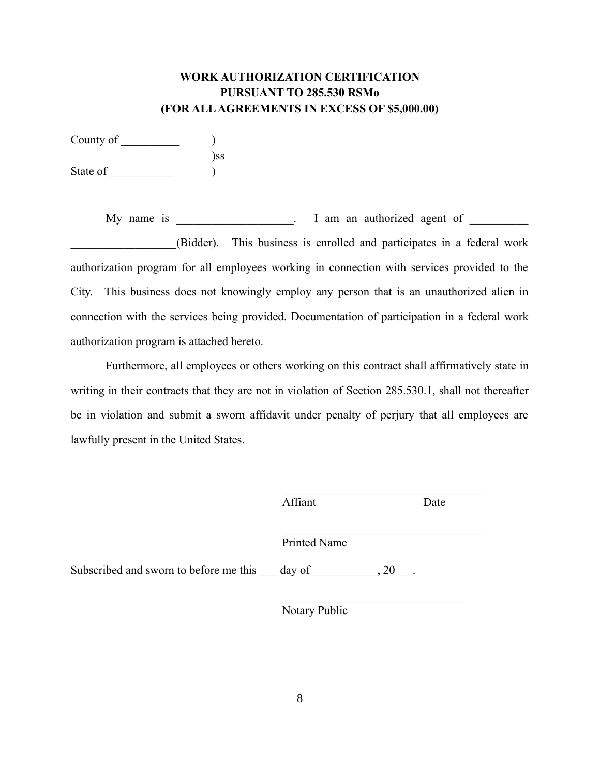## **WORK AUTHORIZATION CERTIFICATION PURSUANT TO 285.530 RSMo (FOR ALL AGREEMENTS IN EXCESS OF \$5,000.00)**

County of \_\_\_\_\_\_\_\_\_\_ ) )ss State of  $\qquad \qquad$  )

My name is \_\_\_\_\_\_\_\_\_\_\_\_\_\_\_\_\_. I am an authorized agent of \_\_\_\_\_\_\_\_\_\_\_\_\_\_\_\_\_\_\_\_\_\_ \_\_\_\_\_\_\_\_\_\_\_\_\_\_\_\_\_\_(Bidder). This business is enrolled and participates in a federal work authorization program for all employees working in connection with services provided to the City. This business does not knowingly employ any person that is an unauthorized alien in connection with the services being provided. Documentation of participation in a federal work authorization program is attached hereto.

Furthermore, all employees or others working on this contract shall affirmatively state in writing in their contracts that they are not in violation of Section 285.530.1, shall not thereafter be in violation and submit a sworn affidavit under penalty of perjury that all employees are lawfully present in the United States.

|                                               | Affiant      |              | Date |
|-----------------------------------------------|--------------|--------------|------|
|                                               | Printed Name |              |      |
| Subscribed and sworn to before me this day of |              | $\, . \, 20$ |      |
|                                               |              |              |      |

Notary Public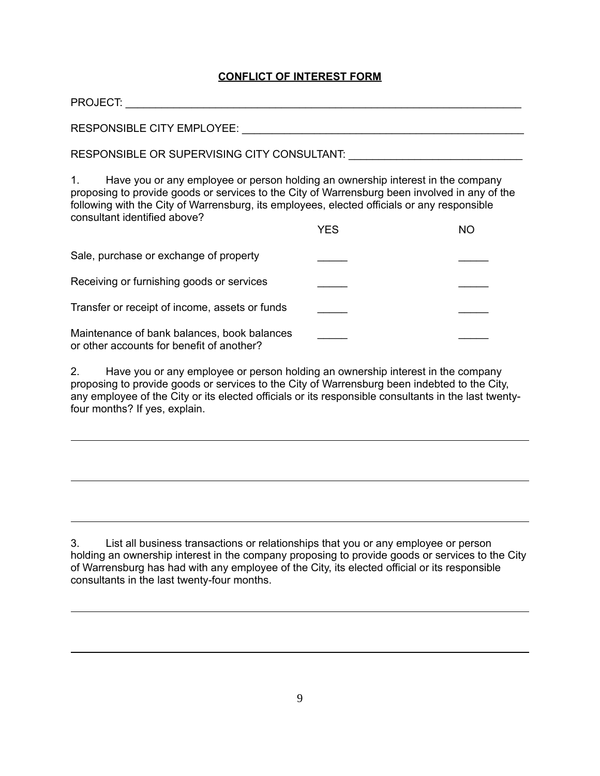### **CONFLICT OF INTEREST FORM**

| <b>PROJECT:</b>                   |  |  |
|-----------------------------------|--|--|
| <b>RESPONSIBLE CITY EMPLOYEE:</b> |  |  |

RESPONSIBLE OR SUPERVISING CITY CONSULTANT: \_\_\_\_\_\_\_\_\_\_\_\_\_\_\_\_\_\_\_\_\_\_\_\_\_\_\_\_\_

1. Have you or any employee or person holding an ownership interest in the company proposing to provide goods or services to the City of Warrensburg been involved in any of the following with the City of Warrensburg, its employees, elected officials or any responsible consultant identified above?

|                                                                                          | YFS | ΝO |
|------------------------------------------------------------------------------------------|-----|----|
| Sale, purchase or exchange of property                                                   |     |    |
| Receiving or furnishing goods or services                                                |     |    |
| Transfer or receipt of income, assets or funds                                           |     |    |
| Maintenance of bank balances, book balances<br>or other accounts for benefit of another? |     |    |

2. Have you or any employee or person holding an ownership interest in the company proposing to provide goods or services to the City of Warrensburg been indebted to the City, any employee of the City or its elected officials or its responsible consultants in the last twentyfour months? If yes, explain.

3. List all business transactions or relationships that you or any employee or person holding an ownership interest in the company proposing to provide goods or services to the City of Warrensburg has had with any employee of the City, its elected official or its responsible consultants in the last twenty-four months.